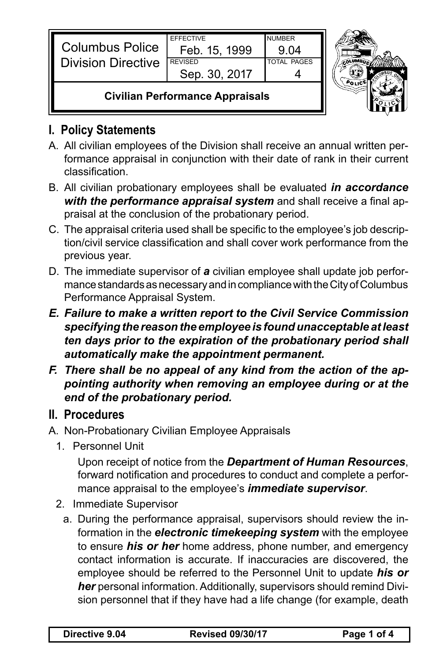| <b>Civilian Performance Appraisals</b>              |                  |                    |  |
|-----------------------------------------------------|------------------|--------------------|--|
|                                                     | Sep. 30, 2017    |                    |  |
| <b>Columbus Police</b><br><b>Division Directive</b> | <b>REVISED</b>   | <b>TOTAL PAGES</b> |  |
|                                                     | Feb. 15, 1999    | .9 N4              |  |
|                                                     | <b>EFFECTIVE</b> | <b>NUMBER</b>      |  |

## **I. Policy Statements**

- A. All civilian employees of the Division shall receive an annual written performance appraisal in conjunction with their date of rank in their current classification.
- B. All civilian probationary employees shall be evaluated *in accordance with the performance appraisal system* and shall receive a final appraisal at the conclusion of the probationary period.
- C. The appraisal criteria used shall be specific to the employee's job description/civil service classification and shall cover work performance from the previous year.
- D. The immediate supervisor of *a* civilian employee shall update job performance standards as necessary and in compliance with the City of Columbus Performance Appraisal System.
- *E. Failure to make a written report to the Civil Service Commission specifying the reason the employee is found unacceptable at least ten days prior to the expiration of the probationary period shall automatically make the appointment permanent.*
- *F. There shall be no appeal of any kind from the action of the appointing authority when removing an employee during or at the end of the probationary period.*

## **II. Procedures**

- A. Non-Probationary Civilian Employee Appraisals
	- 1. Personnel Unit

Upon receipt of notice from the *Department of Human Resources*, forward notification and procedures to conduct and complete a performance appraisal to the employee's *immediate supervisor*.

- 2. Immediate Supervisor
	- a. During the performance appraisal, supervisors should review the information in the *electronic timekeeping system* with the employee to ensure *his or her* home address, phone number, and emergency contact information is accurate. If inaccuracies are discovered, the employee should be referred to the Personnel Unit to update *his or her* personal information. Additionally, supervisors should remind Division personnel that if they have had a life change (for example, death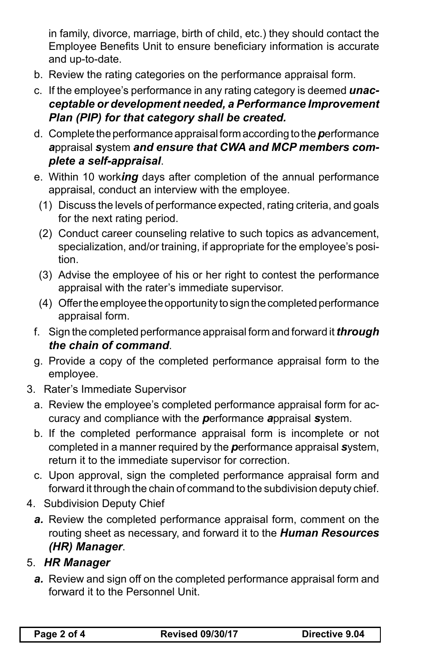in family, divorce, marriage, birth of child, etc.) they should contact the Employee Benefits Unit to ensure beneficiary information is accurate and up-to-date.

- b. Review the rating categories on the performance appraisal form.
- c. If the employee's performance in any rating category is deemed *unacceptable or development needed, a Performance Improvement Plan (PIP) for that category shall be created.*
- d. Complete the performance appraisal form according to the *p*erformance *a*ppraisal *s*ystem *and ensure that CWA and MCP members complete a self-appraisal*.
- e. Within 10 work*ing* days after completion of the annual performance appraisal, conduct an interview with the employee.
- (1) Discuss the levels of performance expected, rating criteria, and goals for the next rating period.
- (2) Conduct career counseling relative to such topics as advancement, specialization, and/or training, if appropriate for the employee's position.
- (3) Advise the employee of his or her right to contest the performance appraisal with the rater's immediate supervisor.
- (4) Offer the employee the opportunity to sign the completed performance appraisal form.
- f. Sign the completed performance appraisal form and forward it *through the chain of command*.
- g. Provide a copy of the completed performance appraisal form to the employee.
- 3. Rater's Immediate Supervisor
	- a. Review the employee's completed performance appraisal form for accuracy and compliance with the *p*erformance *a*ppraisal *s*ystem.
	- b. If the completed performance appraisal form is incomplete or not completed in a manner required by the *p*erformance appraisal *s*ystem, return it to the immediate supervisor for correction.
	- c. Upon approval, sign the completed performance appraisal form and forward it through the chain of command to the subdivision deputy chief.
- 4. Subdivision Deputy Chief
	- *a.* Review the completed performance appraisal form, comment on the routing sheet as necessary, and forward it to the *Human Resources (HR) Manager*.

## 5. *HR Manager*

*a.* Review and sign off on the completed performance appraisal form and forward it to the Personnel Unit.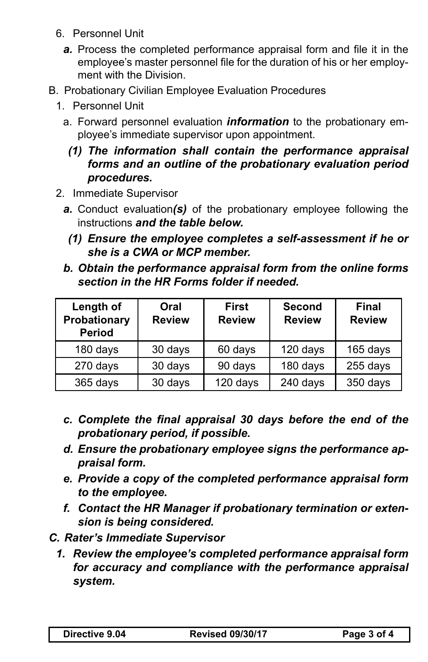- 6. Personnel Unit
	- *a.* Process the completed performance appraisal form and file it in the employee's master personnel file for the duration of his or her employment with the Division.
- B. Probationary Civilian Employee Evaluation Procedures
	- 1. Personnel Unit
		- a. Forward personnel evaluation *information* to the probationary employee's immediate supervisor upon appointment.
			- *(1) The information shall contain the performance appraisal forms and an outline of the probationary evaluation period procedures.*
	- 2. Immediate Supervisor
		- *a.* Conduct evaluation*(s)* of the probationary employee following the instructions *and the table below.*
			- *(1) Ensure the employee completes a self-assessment if he or she is a CWA or MCP member.*
		- *b. Obtain the performance appraisal form from the online forms section in the HR Forms folder if needed.*

| Length of<br>Probationary<br><b>Period</b> | Oral<br><b>Review</b> | <b>First</b><br><b>Review</b> | <b>Second</b><br><b>Review</b> | <b>Final</b><br><b>Review</b> |
|--------------------------------------------|-----------------------|-------------------------------|--------------------------------|-------------------------------|
| 180 days                                   | 30 days               | 60 days                       | 120 days                       | 165 days                      |
| 270 days                                   | 30 days               | 90 days                       | 180 days                       | 255 days                      |
| 365 days                                   | 30 days               | 120 days                      | 240 days                       | 350 days                      |

- *c. Complete the final appraisal 30 days before the end of the probationary period, if possible.*
- *d. Ensure the probationary employee signs the performance appraisal form.*
- *e. Provide a copy of the completed performance appraisal form to the employee.*
- *f. Contact the HR Manager if probationary termination or extension is being considered.*
- *C. Rater's Immediate Supervisor*
	- *1. Review the employee's completed performance appraisal form for accuracy and compliance with the performance appraisal system.*